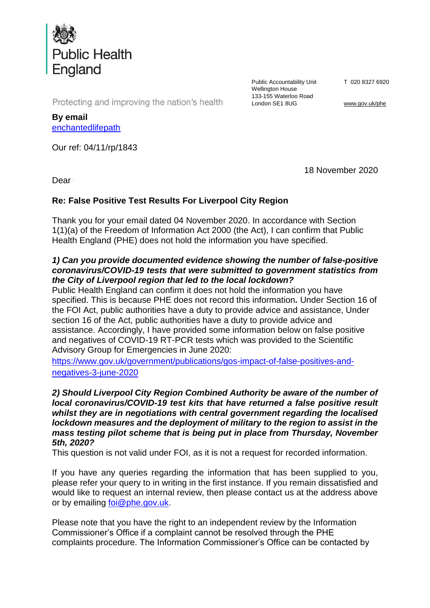

Public Accountability Unit Wellington House 133-155 Waterloo Road London SE1 8UG

T 020 8327 6920

[www.gov.uk/phe](http://www.gov.uk/phe)

Protecting and improving the nation's health

**By email** enchantedlifepath

Our ref: 04/11/rp/1843

18 November 2020

Dear **Carl I** 

## **Re: False Positive Test Results For Liverpool City Region**

Thank you for your email dated 04 November 2020. In accordance with Section 1(1)(a) of the Freedom of Information Act 2000 (the Act), I can confirm that Public Health England (PHE) does not hold the information you have specified.

## *1) Can you provide documented evidence showing the number of false-positive coronavirus/COVID-19 tests that were submitted to government statistics from the City of Liverpool region that led to the local lockdown?*

Public Health England can confirm it does not hold the information you have specified. This is because PHE does not record this information*.* Under Section 16 of the FOI Act, public authorities have a duty to provide advice and assistance, Under section 16 of the Act, public authorities have a duty to provide advice and assistance. Accordingly, I have provided some information below on false positive and negatives of COVID-19 RT-PCR tests which was provided to the Scientific Advisory Group for Emergencies in June 2020:

[https://www.gov.uk/government/publications/gos-impact-of-false-positives-and](https://www.gov.uk/government/publications/gos-impact-of-false-positives-and-negatives-3-june-2020)[negatives-3-june-2020](https://www.gov.uk/government/publications/gos-impact-of-false-positives-and-negatives-3-june-2020)

*2) Should Liverpool City Region Combined Authority be aware of the number of local coronavirus/COVID-19 test kits that have returned a false positive result whilst they are in negotiations with central government regarding the localised lockdown measures and the deployment of military to the region to assist in the mass testing pilot scheme that is being put in place from Thursday, November 5th, 2020?* 

This question is not valid under FOI, as it is not a request for recorded information.

If you have any queries regarding the information that has been supplied to you, please refer your query to in writing in the first instance. If you remain dissatisfied and would like to request an internal review, then please contact us at the address above or by emailing [foi@phe.gov.uk.](mailto:foi@phe.gov.uk)

Please note that you have the right to an independent review by the Information Commissioner's Office if a complaint cannot be resolved through the PHE complaints procedure. The Information Commissioner's Office can be contacted by